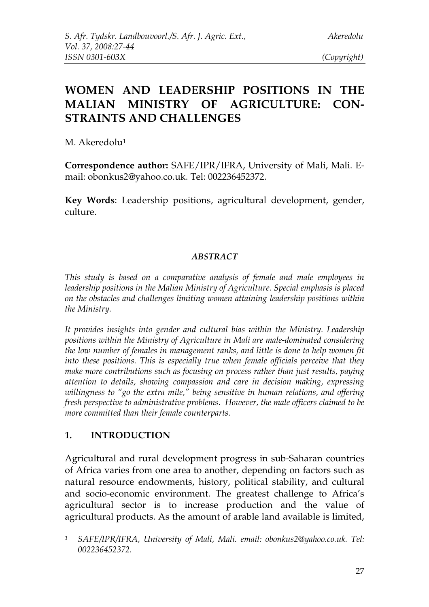# **WOMEN AND LEADERSHIP POSITIONS IN THE MALIAN MINISTRY OF AGRICULTURE: CON-STRAINTS AND CHALLENGES**

M. Akeredolu<sup>1</sup>

**Correspondence author:** SAFE/IPR/IFRA, University of Mali, Mali. Email: obonkus2@yahoo.co.uk. Tel: 002236452372.

**Key Words**: Leadership positions, agricultural development, gender, culture.

### *ABSTRACT*

*This study is based on a comparative analysis of female and male employees in leadership positions in the Malian Ministry of Agriculture. Special emphasis is placed on the obstacles and challenges limiting women attaining leadership positions within the Ministry.*

*It provides insights into gender and cultural bias within the Ministry. Leadership positions within the Ministry of Agriculture in Mali are male-dominated considering the low number of females in management ranks, and little is done to help women fit into these positions. This is especially true when female officials perceive that they make more contributions such as focusing on process rather than just results, paying attention to details, showing compassion and care in decision making, expressing willingness to "go the extra mile," being sensitive in human relations, and offering fresh perspective to administrative problems. However, the male officers claimed to be more committed than their female counterparts.*

### **1. INTRODUCTION**

Agricultural and rural development progress in sub-Saharan countries of Africa varies from one area to another, depending on factors such as natural resource endowments, history, political stability, and cultural and socio-economic environment. The greatest challenge to Africa's agricultural sector is to increase production and the value of agricultural products. As the amount of arable land available is limited,

*<sup>1</sup> SAFE/IPR/IFRA, University of Mali, Mali. email: obonkus2@yahoo.co.uk. Tel: 002236452372.*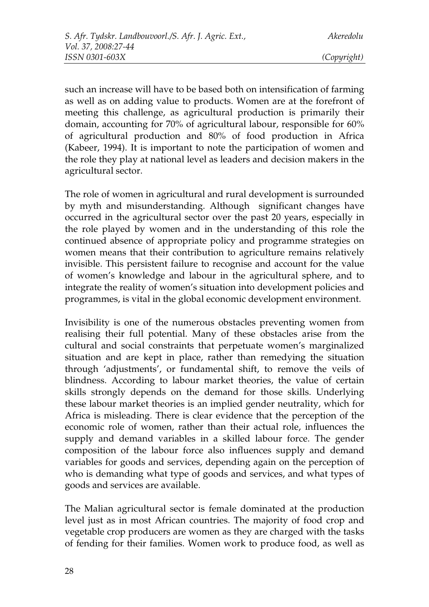such an increase will have to be based both on intensification of farming as well as on adding value to products. Women are at the forefront of meeting this challenge, as agricultural production is primarily their domain, accounting for 70% of agricultural labour, responsible for 60% of agricultural production and 80% of food production in Africa (Kabeer, 1994). It is important to note the participation of women and the role they play at national level as leaders and decision makers in the agricultural sector.

The role of women in agricultural and rural development is surrounded by myth and misunderstanding. Although significant changes have occurred in the agricultural sector over the past 20 years, especially in the role played by women and in the understanding of this role the continued absence of appropriate policy and programme strategies on women means that their contribution to agriculture remains relatively invisible. This persistent failure to recognise and account for the value of women's knowledge and labour in the agricultural sphere, and to integrate the reality of women's situation into development policies and programmes, is vital in the global economic development environment.

Invisibility is one of the numerous obstacles preventing women from realising their full potential. Many of these obstacles arise from the cultural and social constraints that perpetuate women's marginalized situation and are kept in place, rather than remedying the situation through 'adjustments', or fundamental shift, to remove the veils of blindness. According to labour market theories, the value of certain skills strongly depends on the demand for those skills. Underlying these labour market theories is an implied gender neutrality, which for Africa is misleading. There is clear evidence that the perception of the economic role of women, rather than their actual role, influences the supply and demand variables in a skilled labour force. The gender composition of the labour force also influences supply and demand variables for goods and services, depending again on the perception of who is demanding what type of goods and services, and what types of goods and services are available.

The Malian agricultural sector is female dominated at the production level just as in most African countries. The majority of food crop and vegetable crop producers are women as they are charged with the tasks of fending for their families. Women work to produce food, as well as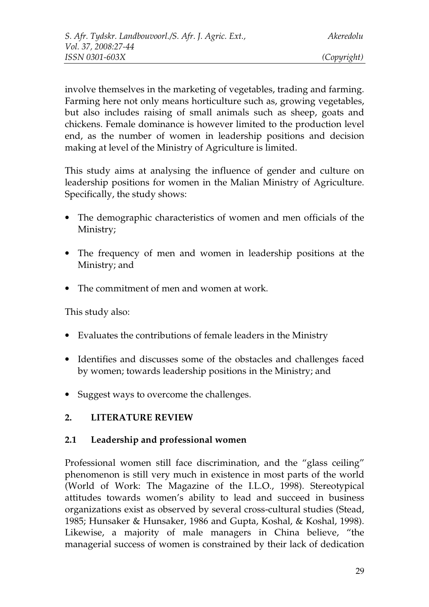involve themselves in the marketing of vegetables, trading and farming. Farming here not only means horticulture such as, growing vegetables, but also includes raising of small animals such as sheep, goats and chickens. Female dominance is however limited to the production level end, as the number of women in leadership positions and decision making at level of the Ministry of Agriculture is limited.

This study aims at analysing the influence of gender and culture on leadership positions for women in the Malian Ministry of Agriculture. Specifically, the study shows:

- The demographic characteristics of women and men officials of the Ministry;
- The frequency of men and women in leadership positions at the Ministry; and
- The commitment of men and women at work.

This study also:

- Evaluates the contributions of female leaders in the Ministry
- Identifies and discusses some of the obstacles and challenges faced by women; towards leadership positions in the Ministry; and
- Suggest ways to overcome the challenges.

### **2. LITERATURE REVIEW**

### **2.1 Leadership and professional women**

Professional women still face discrimination, and the "glass ceiling" phenomenon is still very much in existence in most parts of the world (World of Work: The Magazine of the I.L.O., 1998). Stereotypical attitudes towards women's ability to lead and succeed in business organizations exist as observed by several cross-cultural studies (Stead, 1985; Hunsaker & Hunsaker, 1986 and Gupta, Koshal, & Koshal, 1998). Likewise, a majority of male managers in China believe, "the managerial success of women is constrained by their lack of dedication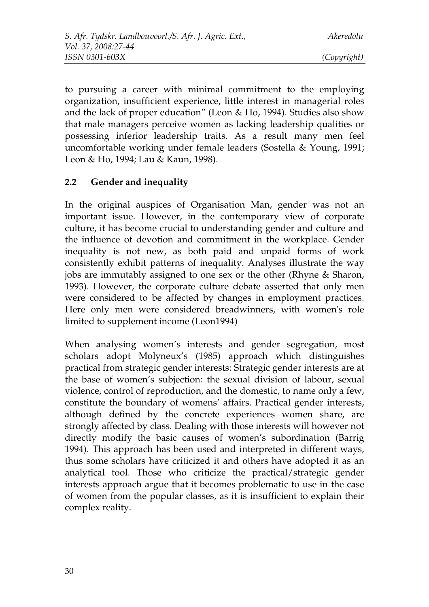to pursuing a career with minimal commitment to the employing organization, insufficient experience, little interest in managerial roles and the lack of proper education" (Leon & Ho, 1994). Studies also show that male managers perceive women as lacking leadership qualities or possessing inferior leadership traits. As a result many men feel uncomfortable working under female leaders (Sostella & Young, 1991; Leon & Ho, 1994; Lau & Kaun, 1998).

## **2.2 Gender and inequality**

In the original auspices of Organisation Man, gender was not an important issue. However, in the contemporary view of corporate culture, it has become crucial to understanding gender and culture and the influence of devotion and commitment in the workplace. Gender inequality is not new, as both paid and unpaid forms of work consistently exhibit patterns of inequality. Analyses illustrate the way jobs are immutably assigned to one sex or the other (Rhyne & Sharon, 1993). However, the corporate culture debate asserted that only men were considered to be affected by changes in employment practices. Here only men were considered breadwinners, with women's role limited to supplement income (Leon1994)

When analysing women's interests and gender segregation, most scholars adopt Molyneux's (1985) approach which distinguishes practical from strategic gender interests: Strategic gender interests are at the base of women's subjection: the sexual division of labour, sexual violence, control of reproduction, and the domestic, to name only a few, constitute the boundary of womens' affairs. Practical gender interests, although defined by the concrete experiences women share, are strongly affected by class. Dealing with those interests will however not directly modify the basic causes of women's subordination (Barrig 1994). This approach has been used and interpreted in different ways, thus some scholars have criticized it and others have adopted it as an analytical tool. Those who criticize the practical/strategic gender interests approach argue that it becomes problematic to use in the case of women from the popular classes, as it is insufficient to explain their complex reality.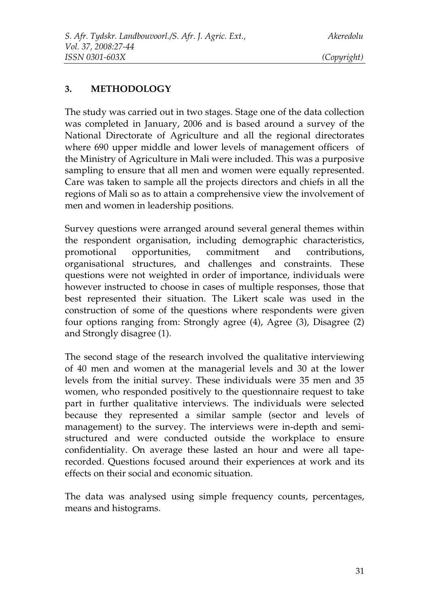### **3. METHODOLOGY**

The study was carried out in two stages. Stage one of the data collection was completed in January, 2006 and is based around a survey of the National Directorate of Agriculture and all the regional directorates where 690 upper middle and lower levels of management officers of the Ministry of Agriculture in Mali were included. This was a purposive sampling to ensure that all men and women were equally represented. Care was taken to sample all the projects directors and chiefs in all the regions of Mali so as to attain a comprehensive view the involvement of men and women in leadership positions.

Survey questions were arranged around several general themes within the respondent organisation, including demographic characteristics, promotional opportunities, commitment and contributions, organisational structures, and challenges and constraints. These questions were not weighted in order of importance, individuals were however instructed to choose in cases of multiple responses, those that best represented their situation. The Likert scale was used in the construction of some of the questions where respondents were given four options ranging from: Strongly agree (4), Agree (3), Disagree (2) and Strongly disagree (1).

The second stage of the research involved the qualitative interviewing of 40 men and women at the managerial levels and 30 at the lower levels from the initial survey. These individuals were 35 men and 35 women, who responded positively to the questionnaire request to take part in further qualitative interviews. The individuals were selected because they represented a similar sample (sector and levels of management) to the survey. The interviews were in-depth and semistructured and were conducted outside the workplace to ensure confidentiality. On average these lasted an hour and were all taperecorded. Questions focused around their experiences at work and its effects on their social and economic situation.

The data was analysed using simple frequency counts, percentages, means and histograms.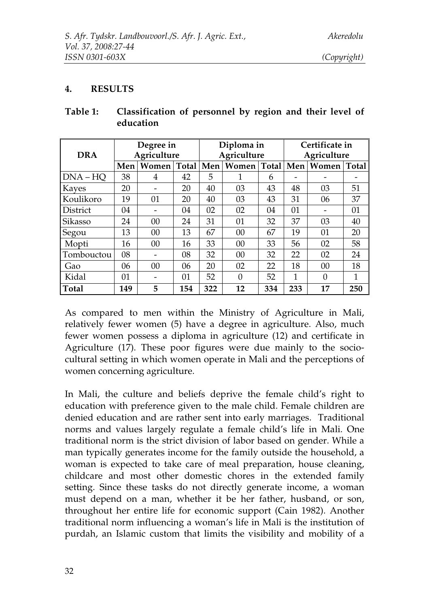### **4. RESULTS**

| <b>DRA</b>      | Degree in<br>Agriculture |               |     | Diploma in<br>Agriculture |               |     | Certificate in<br>Agriculture |                |     |
|-----------------|--------------------------|---------------|-----|---------------------------|---------------|-----|-------------------------------|----------------|-----|
|                 | Men                      | Women   Total |     | Men                       | Women   Total |     | Men                           | Women Total    |     |
| $DNA-HO$        | 38                       | 4             | 42  | 5                         | 1             | 6   |                               |                |     |
| Kayes           | 20                       |               | 20  | 40                        | 03            | 43  | 48                            | 03             | 51  |
| Koulikoro       | 19                       | 01            | 20  | 40                        | 03            | 43  | 31                            | 06             | 37  |
| <b>District</b> | 04                       |               | 04  | 02                        | 02            | 04  | 01                            |                | 01  |
| <b>Sikasso</b>  | 24                       | 00            | 24  | 31                        | 01            | 32  | 37                            | 03             | 40  |
| Segou           | 13                       | 00            | 13  | 67                        | $00\,$        | 67  | 19                            | 01             | 20  |
| Mopti           | 16                       | 00            | 16  | 33                        | 00            | 33  | 56                            | 02             | 58  |
| Tombouctou      | 08                       |               | 08  | 32                        | 00            | 32  | 22                            | 02             | 24  |
| Gao             | 06                       | $00\,$        | 06  | 20                        | 02            | 22  | 18                            | $00\,$         | 18  |
| Kidal           | 01                       |               | 01  | 52                        | $\Omega$      | 52  | 1                             | $\overline{0}$ | 1   |
| Total           | 149                      | 5             | 154 | 322                       | 12            | 334 | 233                           | 17             | 250 |

**Table 1: Classification of personnel by region and their level of education**

As compared to men within the Ministry of Agriculture in Mali, relatively fewer women (5) have a degree in agriculture. Also, much fewer women possess a diploma in agriculture (12) and certificate in Agriculture (17). These poor figures were due mainly to the sociocultural setting in which women operate in Mali and the perceptions of women concerning agriculture.

In Mali, the culture and beliefs deprive the female child's right to education with preference given to the male child. Female children are denied education and are rather sent into early marriages. Traditional norms and values largely regulate a female child's life in Mali. One traditional norm is the strict division of labor based on gender. While a man typically generates income for the family outside the household, a woman is expected to take care of meal preparation, house cleaning, childcare and most other domestic chores in the extended family setting. Since these tasks do not directly generate income, a woman must depend on a man, whether it be her father, husband, or son, throughout her entire life for economic support (Cain 1982). Another traditional norm influencing a woman's life in Mali is the institution of purdah, an Islamic custom that limits the visibility and mobility of a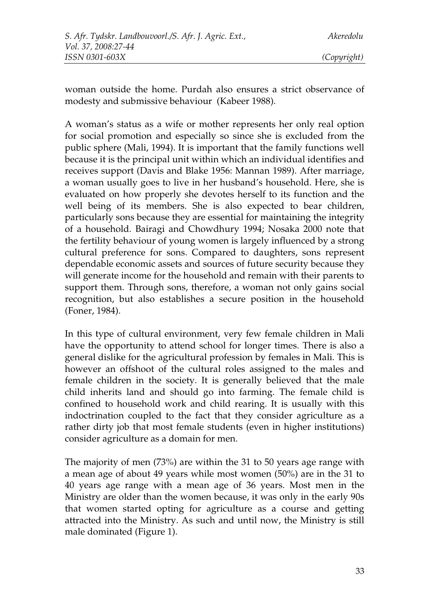woman outside the home. Purdah also ensures a strict observance of modesty and submissive behaviour (Kabeer 1988).

A woman's status as a wife or mother represents her only real option for social promotion and especially so since she is excluded from the public sphere (Mali, 1994). It is important that the family functions well because it is the principal unit within which an individual identifies and receives support (Davis and Blake 1956: Mannan 1989). After marriage, a woman usually goes to live in her husband's household. Here, she is evaluated on how properly she devotes herself to its function and the well being of its members. She is also expected to bear children, particularly sons because they are essential for maintaining the integrity of a household. Bairagi and Chowdhury 1994; Nosaka 2000 note that the fertility behaviour of young women is largely influenced by a strong cultural preference for sons. Compared to daughters, sons represent dependable economic assets and sources of future security because they will generate income for the household and remain with their parents to support them. Through sons, therefore, a woman not only gains social recognition, but also establishes a secure position in the household (Foner, 1984).

In this type of cultural environment, very few female children in Mali have the opportunity to attend school for longer times. There is also a general dislike for the agricultural profession by females in Mali. This is however an offshoot of the cultural roles assigned to the males and female children in the society. It is generally believed that the male child inherits land and should go into farming. The female child is confined to household work and child rearing. It is usually with this indoctrination coupled to the fact that they consider agriculture as a rather dirty job that most female students (even in higher institutions) consider agriculture as a domain for men.

The majority of men (73%) are within the 31 to 50 years age range with a mean age of about 49 years while most women (50%) are in the 31 to 40 years age range with a mean age of 36 years. Most men in the Ministry are older than the women because, it was only in the early 90s that women started opting for agriculture as a course and getting attracted into the Ministry. As such and until now, the Ministry is still male dominated (Figure 1).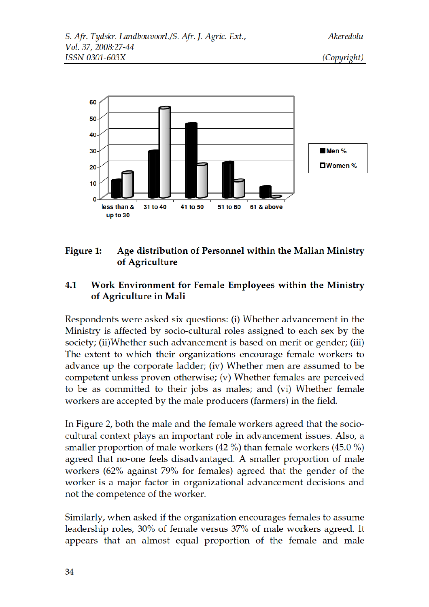

#### Age distribution of Personnel within the Malian Ministry Figure 1: of Agriculture

### Work Environment for Female Employees within the Ministry 4.1 of Agriculture in Mali

Respondents were asked six questions: (i) Whether advancement in the Ministry is affected by socio-cultural roles assigned to each sex by the society; (ii)Whether such advancement is based on merit or gender; (iii) The extent to which their organizations encourage female workers to advance up the corporate ladder; (iv) Whether men are assumed to be competent unless proven otherwise; (v) Whether females are perceived to be as committed to their jobs as males; and (vi) Whether female workers are accepted by the male producers (farmers) in the field.

In Figure 2, both the male and the female workers agreed that the sociocultural context plays an important role in advancement issues. Also, a smaller proportion of male workers  $(42\%)$  than female workers  $(45.0\%)$ agreed that no-one feels disadvantaged. A smaller proportion of male workers (62% against 79% for females) agreed that the gender of the worker is a major factor in organizational advancement decisions and not the competence of the worker.

Similarly, when asked if the organization encourages females to assume leadership roles, 30% of female versus 37% of male workers agreed. It appears that an almost equal proportion of the female and male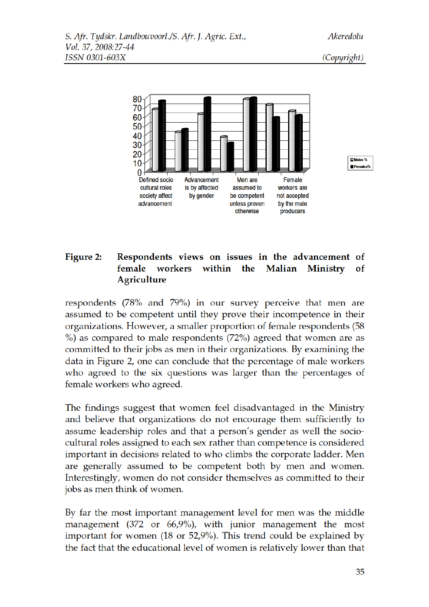(Copyright)





#### Figure 2: Respondents views on issues in the advancement of female workers within the Malian Ministry of **Agriculture**

respondents (78% and 79%) in our survey perceive that men are assumed to be competent until they prove their incompetence in their organizations. However, a smaller proportion of female respondents (58  $\%$ ) as compared to male respondents (72%) agreed that women are as committed to their jobs as men in their organizations. By examining the data in Figure 2, one can conclude that the percentage of male workers who agreed to the six questions was larger than the percentages of female workers who agreed.

The findings suggest that women feel disadvantaged in the Ministry and believe that organizations do not encourage them sufficiently to assume leadership roles and that a person's gender as well the sociocultural roles assigned to each sex rather than competence is considered important in decisions related to who climbs the corporate ladder. Men are generally assumed to be competent both by men and women. Interestingly, women do not consider themselves as committed to their jobs as men think of women.

By far the most important management level for men was the middle management  $(372 \text{ or } 66,9\%)$ , with junior management the most important for women (18 or 52,9%). This trend could be explained by the fact that the educational level of women is relatively lower than that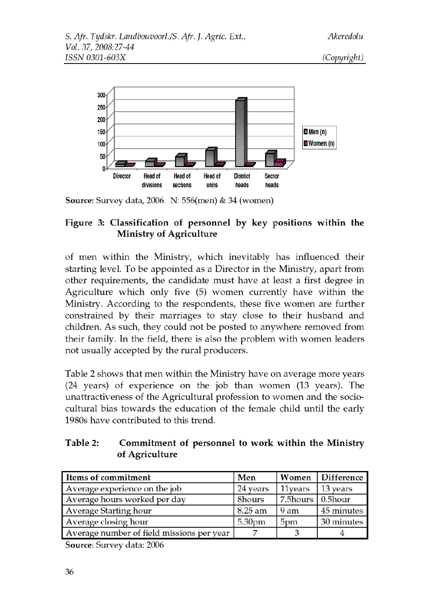(Copyright)



**Source:** Survey data, 2006. N: 556(men) & 34 (women)

### Figure 3: Classification of personnel by key positions within the **Ministry of Agriculture**

of men within the Ministry, which inevitably has influenced their starting level. To be appointed as a Director in the Ministry, apart from other requirements, the candidate must have at least a first degree in Agriculture which only five (5) women currently have within the Ministry. According to the respondents, these five women are further constrained by their marriages to stay close to their husband and children. As such, they could not be posted to anywhere removed from their family. In the field, there is also the problem with women leaders not usually accepted by the rural producers.

Table 2 shows that men within the Ministry have on average more years (24 years) of experience on the job than women (13 years). The unattractiveness of the Agricultural profession to women and the sociocultural bias towards the education of the female child until the early 1980s have contributed to this trend.

#### Table 2: Commitment of personnel to work within the Ministry of Agriculture

| <b>Items of commitment</b>                | Men                |                              | Women Difference |
|-------------------------------------------|--------------------|------------------------------|------------------|
| Average experience on the job             | 24 years           | 11 vears                     | 13 years         |
| Average hours worked per day              | 8hours             | $7.5$ hours $\vert$ 0.5 hour |                  |
| <b>Average Starting hour</b>              | 8.25 am            | 9 am                         | 45 minutes       |
| Average closing hour                      | 5.30 <sub>pm</sub> | 5pm                          | 30 minutes       |
| Average number of field missions per year |                    |                              |                  |

Source: Survey data: 2006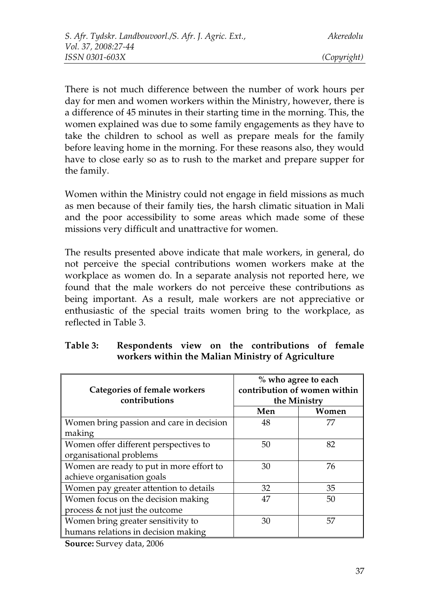There is not much difference between the number of work hours per day for men and women workers within the Ministry, however, there is a difference of 45 minutes in their starting time in the morning. This, the women explained was due to some family engagements as they have to take the children to school as well as prepare meals for the family before leaving home in the morning. For these reasons also, they would have to close early so as to rush to the market and prepare supper for the family.

Women within the Ministry could not engage in field missions as much as men because of their family ties, the harsh climatic situation in Mali and the poor accessibility to some areas which made some of these missions very difficult and unattractive for women.

The results presented above indicate that male workers, in general, do not perceive the special contributions women workers make at the workplace as women do. In a separate analysis not reported here, we found that the male workers do not perceive these contributions as being important. As a result, male workers are not appreciative or enthusiastic of the special traits women bring to the workplace, as reflected in Table 3.

|                                          | % who agree to each<br>contribution of women within |       |  |  |
|------------------------------------------|-----------------------------------------------------|-------|--|--|
| <b>Categories of female workers</b>      |                                                     |       |  |  |
| contributions                            | the Ministry                                        |       |  |  |
|                                          | Men                                                 | Women |  |  |
| Women bring passion and care in decision | 48                                                  | 77    |  |  |
| making                                   |                                                     |       |  |  |
| Women offer different perspectives to    | 50                                                  | 82    |  |  |
| organisational problems                  |                                                     |       |  |  |
| Women are ready to put in more effort to | 30                                                  | 76    |  |  |
| achieve organisation goals               |                                                     |       |  |  |
| Women pay greater attention to details   | 32                                                  | 35    |  |  |
| Women focus on the decision making       | 47                                                  | 50    |  |  |
| process & not just the outcome           |                                                     |       |  |  |
| Women bring greater sensitivity to       | 30                                                  | 57    |  |  |
| humans relations in decision making      |                                                     |       |  |  |

### **Table 3: Respondents view on the contributions of female workers within the Malian Ministry of Agriculture**

**Source:** Survey data, 2006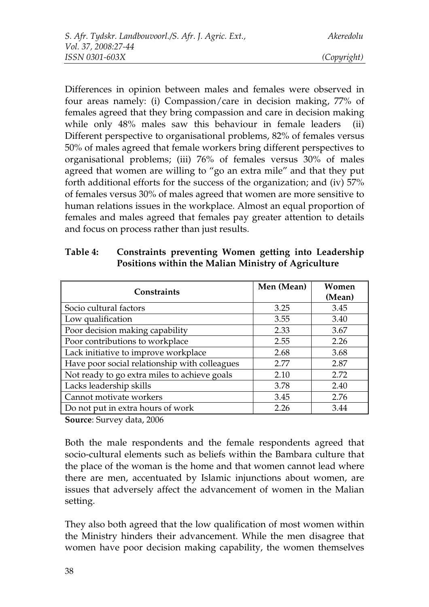Differences in opinion between males and females were observed in four areas namely: (i) Compassion/care in decision making, 77% of females agreed that they bring compassion and care in decision making while only 48% males saw this behaviour in female leaders (ii) Different perspective to organisational problems, 82% of females versus 50% of males agreed that female workers bring different perspectives to organisational problems; (iii) 76% of females versus 30% of males agreed that women are willing to "go an extra mile" and that they put forth additional efforts for the success of the organization; and (iv) 57% of females versus 30% of males agreed that women are more sensitive to human relations issues in the workplace. Almost an equal proportion of females and males agreed that females pay greater attention to details and focus on process rather than just results.

| <b>Constraints</b>                            | Men (Mean) | Women  |
|-----------------------------------------------|------------|--------|
|                                               |            | (Mean) |
| Socio cultural factors                        | 3.25       | 3.45   |
| Low qualification                             | 3.55       | 3.40   |
| Poor decision making capability               | 2.33       | 3.67   |
| Poor contributions to workplace               | 2.55       | 2.26   |
| Lack initiative to improve workplace          | 2.68       | 3.68   |
| Have poor social relationship with colleagues | 2.77       | 2.87   |
| Not ready to go extra miles to achieve goals  | 2.10       | 2.72   |
| Lacks leadership skills                       | 3.78       | 2.40   |
| Cannot motivate workers                       | 3.45       | 2.76   |
| Do not put in extra hours of work             | 2.26       | 3.44   |

**Table 4: Constraints preventing Women getting into Leadership Positions within the Malian Ministry of Agriculture**

**Source**: Survey data, 2006

Both the male respondents and the female respondents agreed that socio-cultural elements such as beliefs within the Bambara culture that the place of the woman is the home and that women cannot lead where there are men, accentuated by Islamic injunctions about women, are issues that adversely affect the advancement of women in the Malian setting.

They also both agreed that the low qualification of most women within the Ministry hinders their advancement. While the men disagree that women have poor decision making capability, the women themselves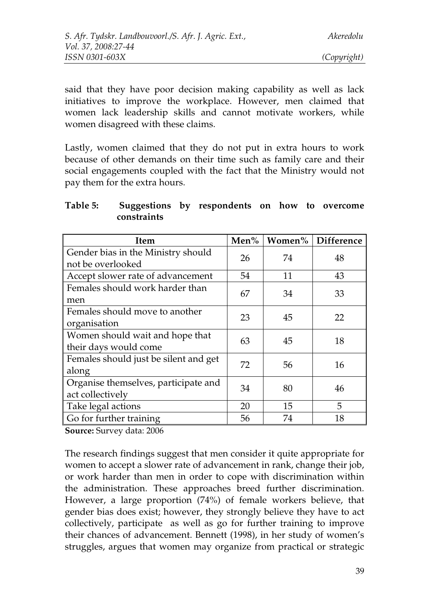said that they have poor decision making capability as well as lack initiatives to improve the workplace. However, men claimed that women lack leadership skills and cannot motivate workers, while women disagreed with these claims.

Lastly, women claimed that they do not put in extra hours to work because of other demands on their time such as family care and their social engagements coupled with the fact that the Ministry would not pay them for the extra hours.

| Table 5: | Suggestions by respondents on how to overcome |  |  |  |
|----------|-----------------------------------------------|--|--|--|
|          | constraints                                   |  |  |  |

| <b>Item</b>                                              | Men% | Women% | Difference |
|----------------------------------------------------------|------|--------|------------|
| Gender bias in the Ministry should                       | 26   | 74     | 48         |
| not be overlooked                                        |      |        |            |
| Accept slower rate of advancement                        | 54   | 11     | 43         |
| Females should work harder than<br>men                   | 67   | 34     | 33         |
| Females should move to another<br>organisation           | 23   | 45     | 22         |
| Women should wait and hope that<br>their days would come | 63   | 45     | 18         |
| Females should just be silent and get<br>along           | 72   | 56     | 16         |
| Organise themselves, participate and<br>act collectively | 34   | 80     | 46         |
| Take legal actions                                       | 20   | 15     | 5          |
| Go for further training                                  | 56   | 74     | 18         |

**Source:** Survey data: 2006

The research findings suggest that men consider it quite appropriate for women to accept a slower rate of advancement in rank, change their job, or work harder than men in order to cope with discrimination within the administration. These approaches breed further discrimination. However, a large proportion (74%) of female workers believe, that gender bias does exist; however, they strongly believe they have to act collectively, participate as well as go for further training to improve their chances of advancement. Bennett (1998), in her study of women's struggles, argues that women may organize from practical or strategic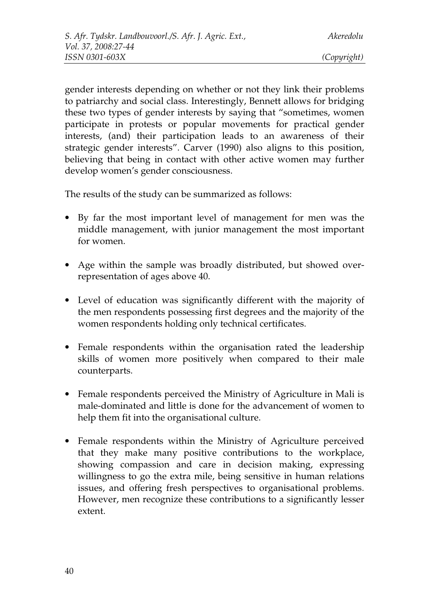gender interests depending on whether or not they link their problems to patriarchy and social class. Interestingly, Bennett allows for bridging these two types of gender interests by saying that "sometimes, women participate in protests or popular movements for practical gender interests, (and) their participation leads to an awareness of their strategic gender interests". Carver (1990) also aligns to this position, believing that being in contact with other active women may further develop women's gender consciousness.

The results of the study can be summarized as follows:

- By far the most important level of management for men was the middle management, with junior management the most important for women.
- Age within the sample was broadly distributed, but showed overrepresentation of ages above 40.
- Level of education was significantly different with the majority of the men respondents possessing first degrees and the majority of the women respondents holding only technical certificates.
- Female respondents within the organisation rated the leadership skills of women more positively when compared to their male counterparts.
- Female respondents perceived the Ministry of Agriculture in Mali is male-dominated and little is done for the advancement of women to help them fit into the organisational culture.
- Female respondents within the Ministry of Agriculture perceived that they make many positive contributions to the workplace, showing compassion and care in decision making, expressing willingness to go the extra mile, being sensitive in human relations issues, and offering fresh perspectives to organisational problems. However, men recognize these contributions to a significantly lesser extent.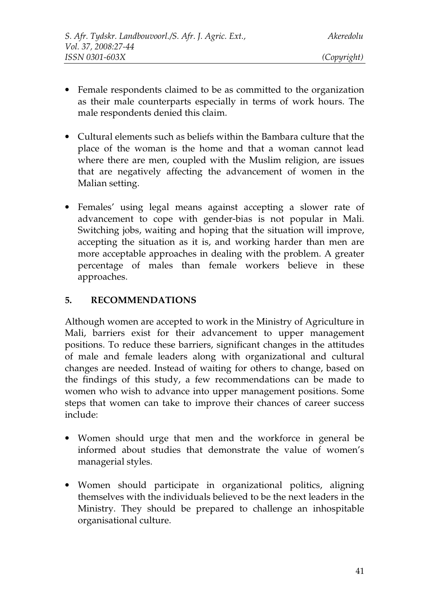- Female respondents claimed to be as committed to the organization as their male counterparts especially in terms of work hours. The male respondents denied this claim.
- Cultural elements such as beliefs within the Bambara culture that the place of the woman is the home and that a woman cannot lead where there are men, coupled with the Muslim religion, are issues that are negatively affecting the advancement of women in the Malian setting.
- Females' using legal means against accepting a slower rate of advancement to cope with gender-bias is not popular in Mali. Switching jobs, waiting and hoping that the situation will improve, accepting the situation as it is, and working harder than men are more acceptable approaches in dealing with the problem. A greater percentage of males than female workers believe in these approaches.

### **5. RECOMMENDATIONS**

Although women are accepted to work in the Ministry of Agriculture in Mali, barriers exist for their advancement to upper management positions. To reduce these barriers, significant changes in the attitudes of male and female leaders along with organizational and cultural changes are needed. Instead of waiting for others to change, based on the findings of this study, a few recommendations can be made to women who wish to advance into upper management positions. Some steps that women can take to improve their chances of career success include:

- Women should urge that men and the workforce in general be informed about studies that demonstrate the value of women's managerial styles.
- Women should participate in organizational politics, aligning themselves with the individuals believed to be the next leaders in the Ministry. They should be prepared to challenge an inhospitable organisational culture.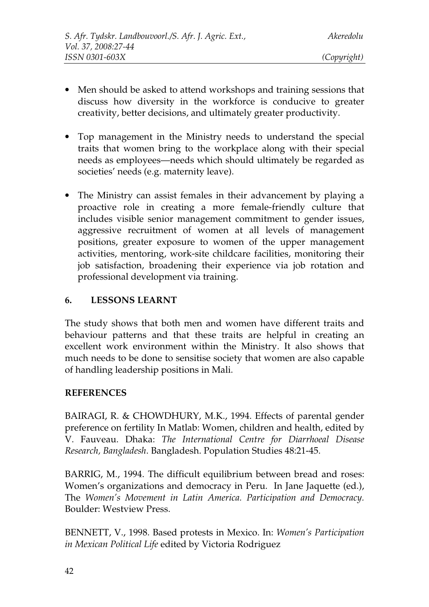- Men should be asked to attend workshops and training sessions that discuss how diversity in the workforce is conducive to greater creativity, better decisions, and ultimately greater productivity.
- Top management in the Ministry needs to understand the special traits that women bring to the workplace along with their special needs as employees—needs which should ultimately be regarded as societies' needs (e.g. maternity leave).
- The Ministry can assist females in their advancement by playing a proactive role in creating a more female-friendly culture that includes visible senior management commitment to gender issues, aggressive recruitment of women at all levels of management positions, greater exposure to women of the upper management activities, mentoring, work-site childcare facilities, monitoring their job satisfaction, broadening their experience via job rotation and professional development via training.

### **6. LESSONS LEARNT**

The study shows that both men and women have different traits and behaviour patterns and that these traits are helpful in creating an excellent work environment within the Ministry. It also shows that much needs to be done to sensitise society that women are also capable of handling leadership positions in Mali.

### **REFERENCES**

BAIRAGI, R. & CHOWDHURY, M.K., 1994. Effects of parental gender preference on fertility In Matlab: Women, children and health, edited by V. Fauveau. Dhaka: *The International Centre for Diarrhoeal Disease Research, Bangladesh*. Bangladesh. Population Studies 48:21-45.

BARRIG, M., 1994. The difficult equilibrium between bread and roses: Women's organizations and democracy in Peru. In Jane Jaquette (ed.), The *Women's Movement in Latin America. Participation and Democracy.* Boulder: Westview Press.

BENNETT, V., 1998. Based protests in Mexico. In: *Women's Participation in Mexican Political Life* edited by Victoria Rodriguez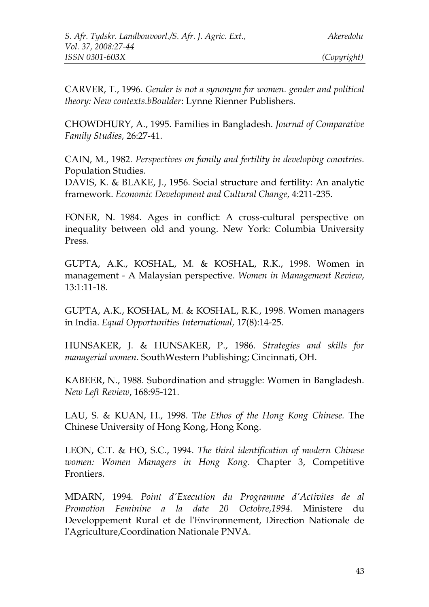CARVER, T., 1996. *Gender is not a synonym for women. gender and political theory: New contexts.bBoulder*: Lynne Rienner Publishers.

CHOWDHURY, A., 1995. Families in Bangladesh. *Journal of Comparative Family Studies,* 26:27-41.

CAIN, M., 1982. *Perspectives on family and fertility in developing countries*. Population Studies.

DAVIS, K. & BLAKE, J., 1956. Social structure and fertility: An analytic framework. *Economic Development and Cultural Change,* 4:211-235.

FONER, N. 1984. Ages in conflict: A cross-cultural perspective on inequality between old and young. New York: Columbia University Press.

GUPTA, A.K., KOSHAL, M. & KOSHAL, R.K., 1998. Women in management - A Malaysian perspective. *Women in Management Review,* 13:1:11-18.

GUPTA, A.K., KOSHAL, M. & KOSHAL, R.K., 1998. Women managers in India. *Equal Opportunities International,* 17(8):14-25.

HUNSAKER, J. & HUNSAKER, P., 1986. *Strategies and skills for managerial women*. SouthWestern Publishing; Cincinnati, OH.

KABEER, N., 1988. Subordination and struggle: Women in Bangladesh. *New Left Review*, 168:95-121.

LAU, S. & KUAN, H., 1998. T*he Ethos of the Hong Kong Chinese.* The Chinese University of Hong Kong, Hong Kong.

LEON, C.T. & HO, S.C., 1994. *The third identification of modern Chinese women: Women Managers in Hong Kong*. Chapter 3, Competitive Frontiers.

MDARN, 1994. *Point d'Execution du Programme d'Activites de al Promotion Feminine a la date 20 Octobre,1994*. Ministere du Developpement Rural et de l'Environnement, Direction Nationale de l'Agriculture,Coordination Nationale PNVA.